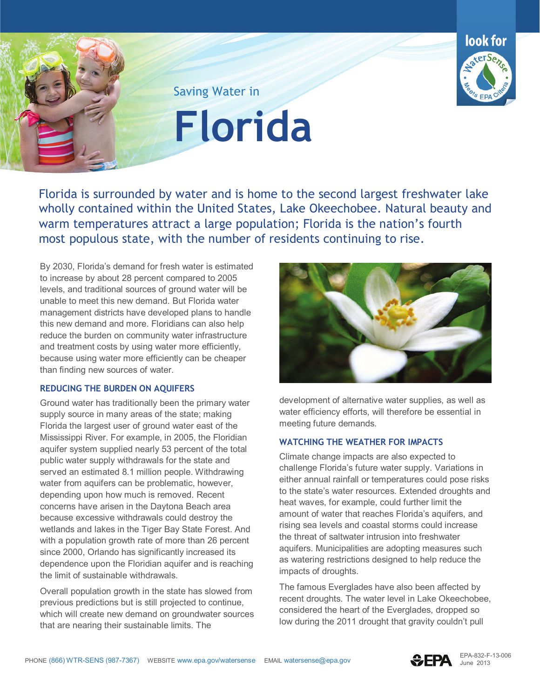

Saving Water in

**Florida**

 Florida is surrounded by water and is home to the second largest freshwater lake wholly contained within the United States, Lake Okeechobee. Natural beauty and warm temperatures attract a large population; Florida is the nation's fourth most populous state, with the number of residents continuing to rise.

 management districts have developed plans to handle By 2030, Florida's demand for fresh water is estimated to increase by about 28 percent compared to 2005 levels, and traditional sources of ground water will be unable to meet this new demand. But Florida water this new demand and more. Floridians can also help reduce the burden on community water infrastructure and treatment costs by using water more efficiently, because using water more efficiently can be cheaper than finding new sources of water.

## **REDUCING THE BURDEN ON AQUIFERS**

 Mississippi River. For example, in 2005, the Floridian public water supply withdrawals for the state and Ground water has traditionally been the primary water supply source in many areas of the state; making Florida the largest user of ground water east of the aquifer system supplied nearly 53 percent of the total served an estimated 8.1 million people. Withdrawing water from aquifers can be problematic, however, depending upon how much is removed. Recent concerns have arisen in the Daytona Beach area because excessive withdrawals could destroy the wetlands and lakes in the Tiger Bay State Forest. And with a population growth rate of more than 26 percent since 2000, Orlando has significantly increased its dependence upon the Floridian aquifer and is reaching the limit of sustainable withdrawals.

Overall population growth in the state has slowed from previous predictions but is still projected to continue, which will create new demand on groundwater sources that are nearing their sustainable limits. The



 meeting future demands. dev elopment of alternative water supplies, as well as water efficiency efforts, will therefore be essential in

## **WATCHING THE WEATHER FOR IMPACTS**

 the threat of saltwater intrusion into freshwater Climate change impacts are also expected to challenge Florida's future water supply. Variations in either annual rainfall or temperatures could pose risks to the state's water resources. Extended droughts and heat waves, for example, could further limit the amount of water that reaches Florida's aquifers, and rising sea levels and coastal storms could increase aquifers. Municipalities are adopting measures such as watering restrictions designed to help reduce the impacts of droughts.

The famous Everglades have also been affected by recent droughts. The water level in Lake Okeechobee, considered the heart of the Everglades, dropped so low during the 2011 drought that gravity couldn't pull